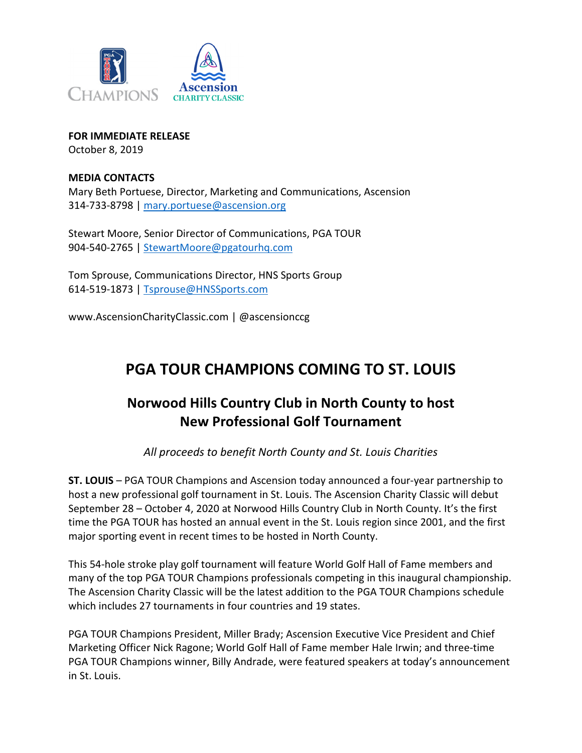

FOR IMMEDIATE RELEASE October 8, 2019

#### MEDIA CONTACTS

Mary Beth Portuese, Director, Marketing and Communications, Ascension 314-733-8798 | mary.portuese@ascension.org

Stewart Moore, Senior Director of Communications, PGA TOUR 904-540-2765 | StewartMoore@pgatourhq.com

Tom Sprouse, Communications Director, HNS Sports Group 614-519-1873 | Tsprouse@HNSSports.com

www.AscensionCharityClassic.com | @ascensionccg

# PGA TOUR CHAMPIONS COMING TO ST. LOUIS

## Norwood Hills Country Club in North County to host New Professional Golf Tournament

All proceeds to benefit North County and St. Louis Charities

ST. LOUIS – PGA TOUR Champions and Ascension today announced a four-year partnership to host a new professional golf tournament in St. Louis. The Ascension Charity Classic will debut September 28 – October 4, 2020 at Norwood Hills Country Club in North County. It's the first time the PGA TOUR has hosted an annual event in the St. Louis region since 2001, and the first major sporting event in recent times to be hosted in North County.

This 54-hole stroke play golf tournament will feature World Golf Hall of Fame members and many of the top PGA TOUR Champions professionals competing in this inaugural championship. The Ascension Charity Classic will be the latest addition to the PGA TOUR Champions schedule which includes 27 tournaments in four countries and 19 states.

PGA TOUR Champions President, Miller Brady; Ascension Executive Vice President and Chief Marketing Officer Nick Ragone; World Golf Hall of Fame member Hale Irwin; and three-time PGA TOUR Champions winner, Billy Andrade, were featured speakers at today's announcement in St. Louis.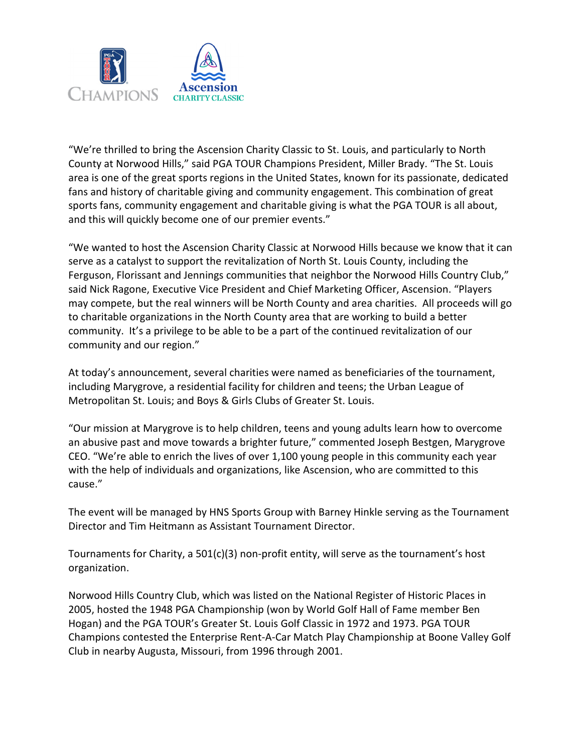

"We're thrilled to bring the Ascension Charity Classic to St. Louis, and particularly to North County at Norwood Hills," said PGA TOUR Champions President, Miller Brady. "The St. Louis area is one of the great sports regions in the United States, known for its passionate, dedicated fans and history of charitable giving and community engagement. This combination of great sports fans, community engagement and charitable giving is what the PGA TOUR is all about, and this will quickly become one of our premier events."

"We wanted to host the Ascension Charity Classic at Norwood Hills because we know that it can serve as a catalyst to support the revitalization of North St. Louis County, including the Ferguson, Florissant and Jennings communities that neighbor the Norwood Hills Country Club," said Nick Ragone, Executive Vice President and Chief Marketing Officer, Ascension. "Players may compete, but the real winners will be North County and area charities. All proceeds will go to charitable organizations in the North County area that are working to build a better community. It's a privilege to be able to be a part of the continued revitalization of our community and our region."

At today's announcement, several charities were named as beneficiaries of the tournament, including Marygrove, a residential facility for children and teens; the Urban League of Metropolitan St. Louis; and Boys & Girls Clubs of Greater St. Louis.

"Our mission at Marygrove is to help children, teens and young adults learn how to overcome an abusive past and move towards a brighter future," commented Joseph Bestgen, Marygrove CEO. "We're able to enrich the lives of over 1,100 young people in this community each year with the help of individuals and organizations, like Ascension, who are committed to this cause."

The event will be managed by HNS Sports Group with Barney Hinkle serving as the Tournament Director and Tim Heitmann as Assistant Tournament Director.

Tournaments for Charity, a 501(c)(3) non-profit entity, will serve as the tournament's host organization.

Norwood Hills Country Club, which was listed on the National Register of Historic Places in 2005, hosted the 1948 PGA Championship (won by World Golf Hall of Fame member Ben Hogan) and the PGA TOUR's Greater St. Louis Golf Classic in 1972 and 1973. PGA TOUR Champions contested the Enterprise Rent-A-Car Match Play Championship at Boone Valley Golf Club in nearby Augusta, Missouri, from 1996 through 2001.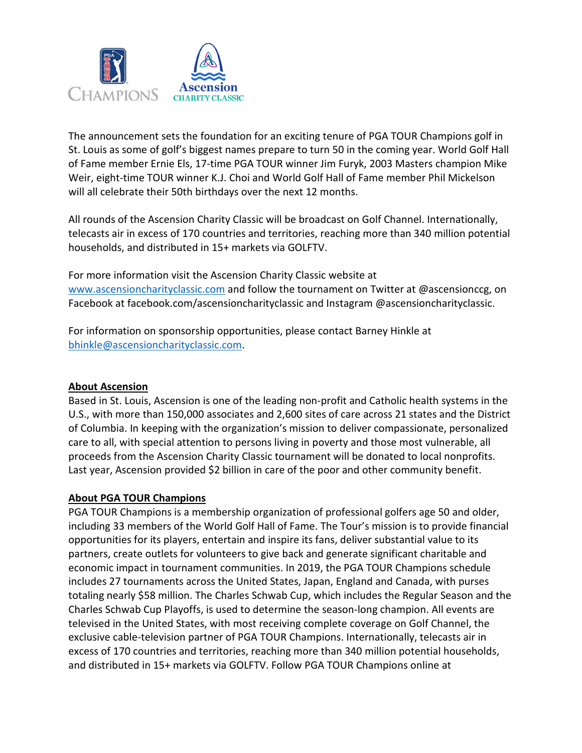

The announcement sets the foundation for an exciting tenure of PGA TOUR Champions golf in St. Louis as some of golf's biggest names prepare to turn 50 in the coming year. World Golf Hall of Fame member Ernie Els, 17-time PGA TOUR winner Jim Furyk, 2003 Masters champion Mike Weir, eight-time TOUR winner K.J. Choi and World Golf Hall of Fame member Phil Mickelson will all celebrate their 50th birthdays over the next 12 months.

All rounds of the Ascension Charity Classic will be broadcast on Golf Channel. Internationally, telecasts air in excess of 170 countries and territories, reaching more than 340 million potential households, and distributed in 15+ markets via GOLFTV.

For more information visit the Ascension Charity Classic website at www.ascensioncharityclassic.com and follow the tournament on Twitter at @ascensionccg, on Facebook at facebook.com/ascensioncharityclassic and Instagram @ascensioncharityclassic.

For information on sponsorship opportunities, please contact Barney Hinkle at bhinkle@ascensioncharityclassic.com.

### About Ascension

Based in St. Louis, Ascension is one of the leading non-profit and Catholic health systems in the U.S., with more than 150,000 associates and 2,600 sites of care across 21 states and the District of Columbia. In keeping with the organization's mission to deliver compassionate, personalized care to all, with special attention to persons living in poverty and those most vulnerable, all proceeds from the Ascension Charity Classic tournament will be donated to local nonprofits. Last year, Ascension provided \$2 billion in care of the poor and other community benefit.

### About PGA TOUR Champions

PGA TOUR Champions is a membership organization of professional golfers age 50 and older, including 33 members of the World Golf Hall of Fame. The Tour's mission is to provide financial opportunities for its players, entertain and inspire its fans, deliver substantial value to its partners, create outlets for volunteers to give back and generate significant charitable and economic impact in tournament communities. In 2019, the PGA TOUR Champions schedule includes 27 tournaments across the United States, Japan, England and Canada, with purses totaling nearly \$58 million. The Charles Schwab Cup, which includes the Regular Season and the Charles Schwab Cup Playoffs, is used to determine the season-long champion. All events are televised in the United States, with most receiving complete coverage on Golf Channel, the exclusive cable-television partner of PGA TOUR Champions. Internationally, telecasts air in excess of 170 countries and territories, reaching more than 340 million potential households, and distributed in 15+ markets via GOLFTV. Follow PGA TOUR Champions online at